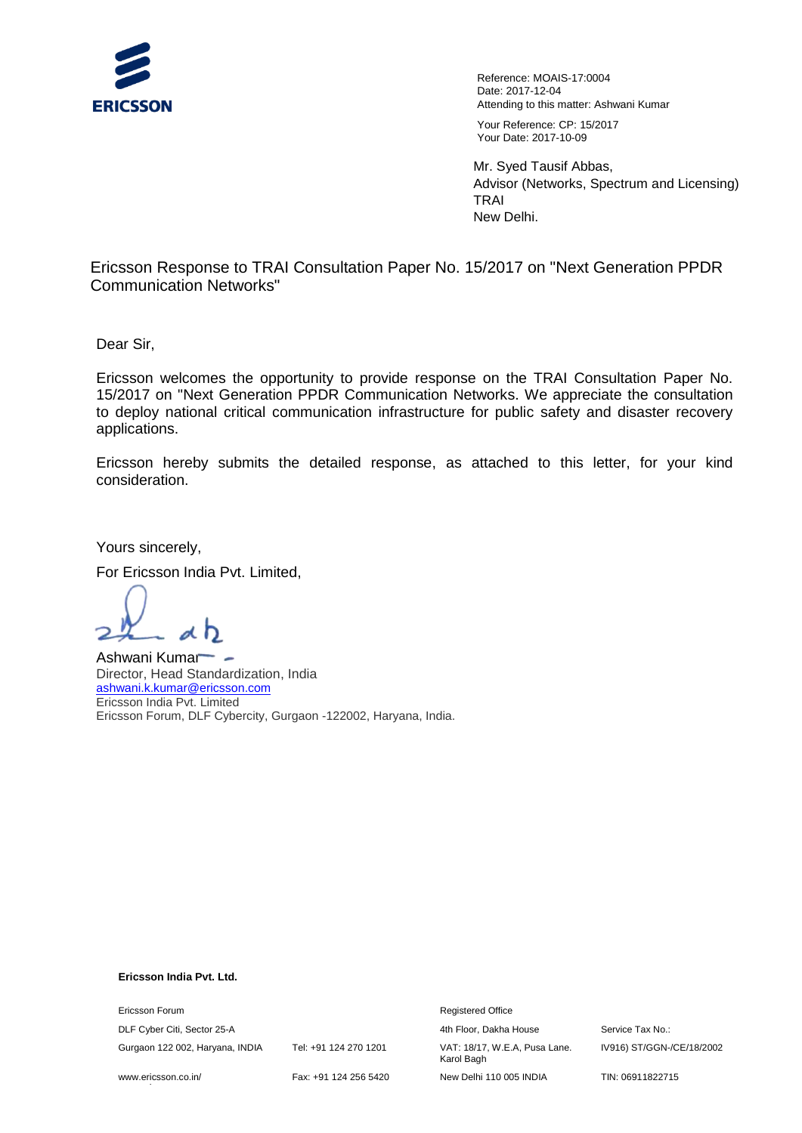

Reference: MOAIS-17:0004 Date: 2017-12-04 Attending to this matter: Ashwani Kumar Your Reference: CP: 15/2017 Your Date: 2017-10-09

Mr. Syed Tausif Abbas, Advisor (Networks, Spectrum and Licensing) TRAI New Delhi.

Ericsson Response to TRAI Consultation Paper No. 15/2017 on "Next Generation PPDR Communication Networks"

Dear Sir,

Ericsson welcomes the opportunity to provide response on the TRAI Consultation Paper No. 15/2017 on "Next Generation PPDR Communication Networks. We appreciate the consultation to deploy national critical communication infrastructure for public safety and disaster recovery applications.

Ericsson hereby submits the detailed response, as attached to this letter, for your kind consideration.

Yours sincerely,

For Ericsson India Pvt. Limited,

Ashwani Kumar Director, Head Standardization, India ashwani.k.kumar@ericsson.com Ericsson India Pvt. Limited Ericsson Forum, DLF Cybercity, Gurgaon -122002, Haryana, India.

#### **Ericsson India Pvt. Ltd.**

**Ericsson Forum** <br> **Example 2018**<br> **Example 2018**<br> **Registered Office** 

www.ericsson.co.in/ www.ericsson.com

Fax: +91 124 256 5420 New Delhi 110 005 INDIA TIN: 06911822715

DLF Cyber Citi, Sector 25-A **4th Floor, Dakha House** Service Tax No.: Gurgaon 122 002, Haryana, INDIA Tel: +91 124 270 1201 VAT: 18/17, W.E.A, Pusa Lane. Karol Bagh

IV916) ST/GGN-/CE/18/2002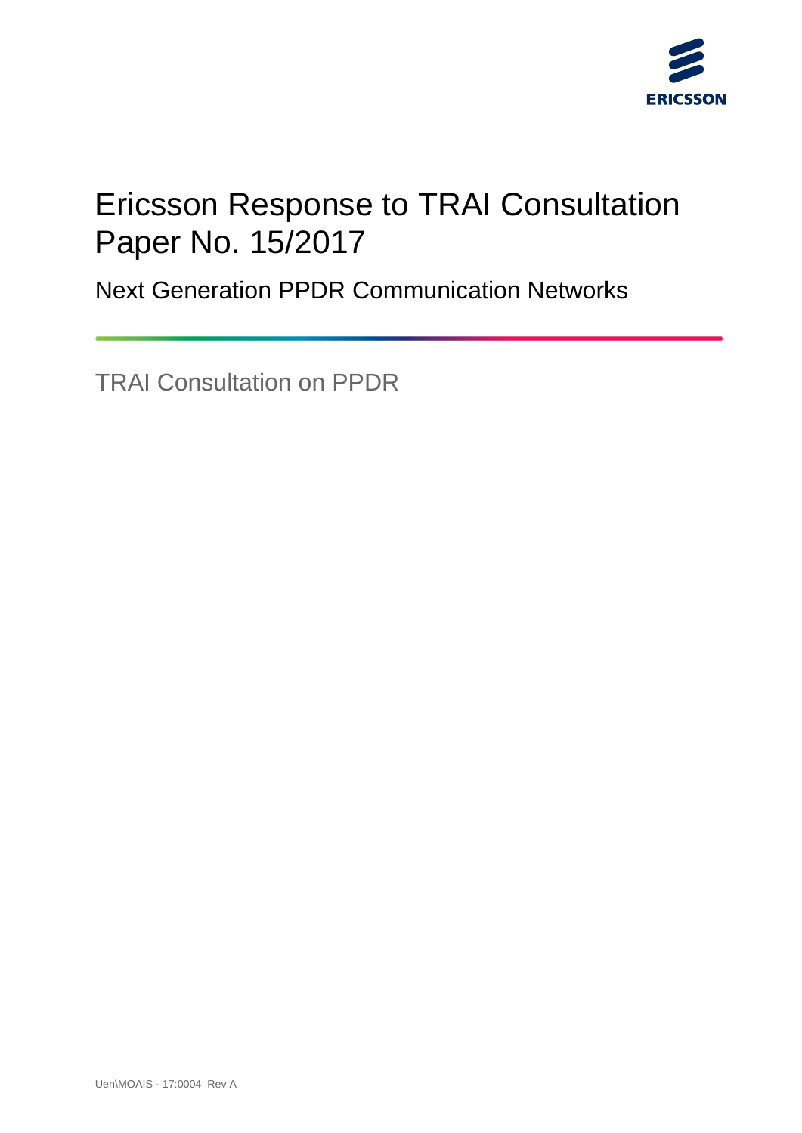

# Ericsson Response to TRAI Consultation Paper No. 15/2017

Next Generation PPDR Communication Networks

TRAI Consultation on PPDR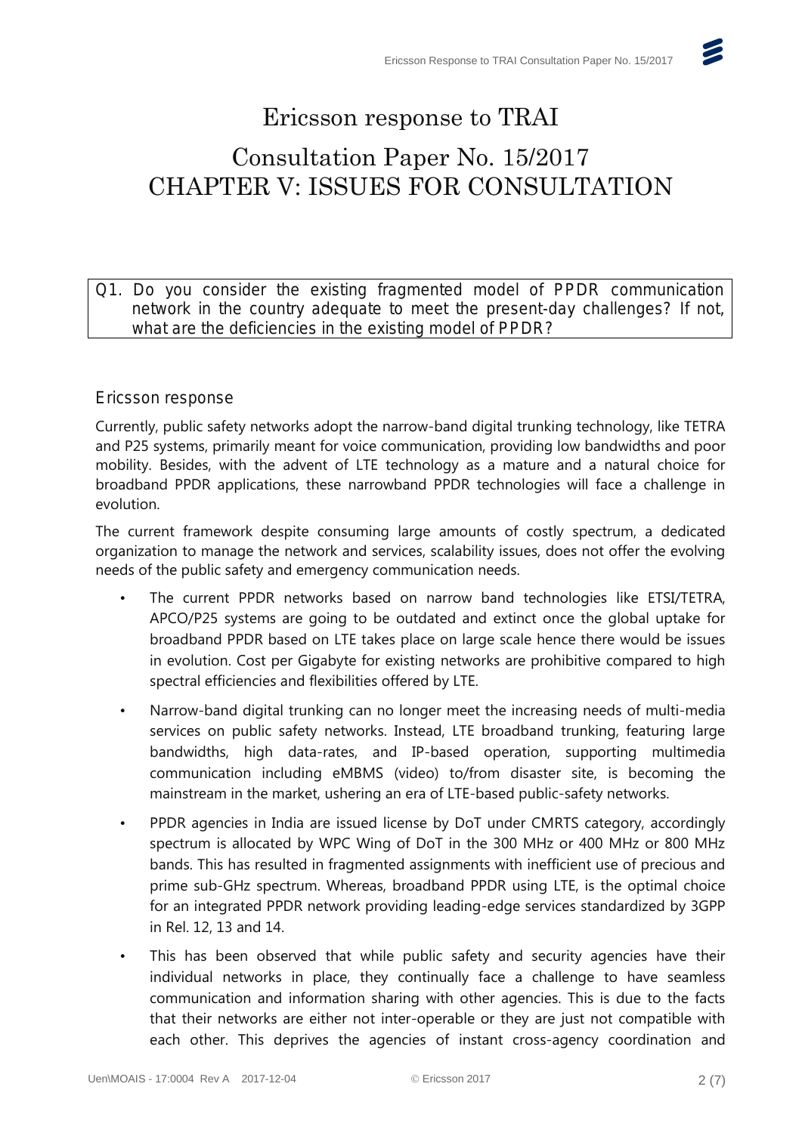$\epsilon$ 

### Ericsson response to TRAI

## Consultation Paper No. 15/2017 CHAPTER V: ISSUES FOR CONSULTATION

Q1. Do you consider the existing fragmented model of PPDR communication network in the country adequate to meet the present-day challenges? If not, what are the deficiencies in the existing model of PPDR?

### Ericsson response

Currently, public safety networks adopt the narrow-band digital trunking technology, like TETRA and P25 systems, primarily meant for voice communication, providing low bandwidths and poor mobility. Besides, with the advent of LTE technology as a mature and a natural choice for broadband PPDR applications, these narrowband PPDR technologies will face a challenge in evolution.

The current framework despite consuming large amounts of costly spectrum, a dedicated organization to manage the network and services, scalability issues, does not offer the evolving needs of the public safety and emergency communication needs.

- The current PPDR networks based on narrow band technologies like ETSI/TETRA, APCO/P25 systems are going to be outdated and extinct once the global uptake for broadband PPDR based on LTE takes place on large scale hence there would be issues in evolution. Cost per Gigabyte for existing networks are prohibitive compared to high spectral efficiencies and flexibilities offered by LTE.
- Narrow-band digital trunking can no longer meet the increasing needs of multi-media services on public safety networks. Instead, LTE broadband trunking, featuring large bandwidths, high data-rates, and IP-based operation, supporting multimedia communication including eMBMS (video) to/from disaster site, is becoming the mainstream in the market, ushering an era of LTE-based public-safety networks.
- PPDR agencies in India are issued license by DoT under CMRTS category, accordingly spectrum is allocated by WPC Wing of DoT in the 300 MHz or 400 MHz or 800 MHz bands. This has resulted in fragmented assignments with inefficient use of precious and prime sub-GHz spectrum. Whereas, broadband PPDR using LTE, is the optimal choice for an integrated PPDR network providing leading-edge services standardized by 3GPP in Rel. 12, 13 and 14.
- This has been observed that while public safety and security agencies have their individual networks in place, they continually face a challenge to have seamless communication and information sharing with other agencies. This is due to the facts that their networks are either not inter-operable or they are just not compatible with each other. This deprives the agencies of instant cross-agency coordination and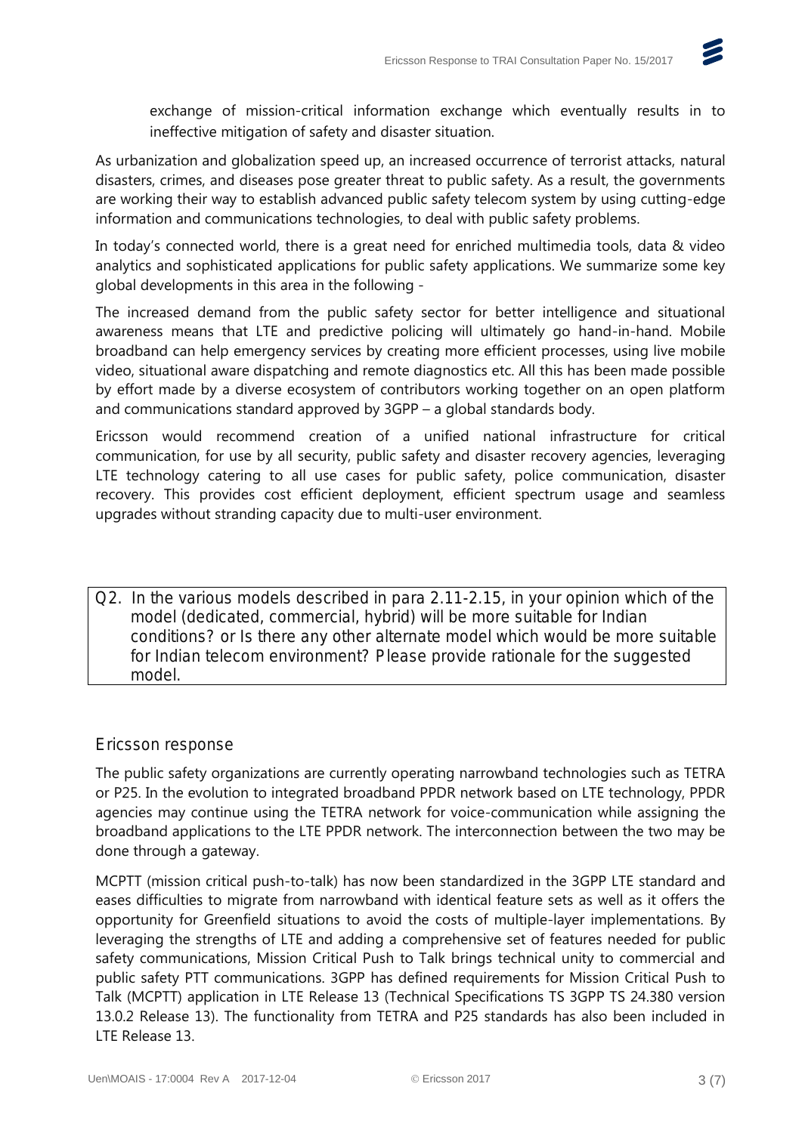

exchange of mission-critical information exchange which eventually results in to ineffective mitigation of safety and disaster situation.

As urbanization and globalization speed up, an increased occurrence of terrorist attacks, natural disasters, crimes, and diseases pose greater threat to public safety. As a result, the governments are working their way to establish advanced public safety telecom system by using cutting-edge information and communications technologies, to deal with public safety problems.

In today's connected world, there is a great need for enriched multimedia tools, data & video analytics and sophisticated applications for public safety applications. We summarize some key global developments in this area in the following -

The increased demand from the public safety sector for better intelligence and situational awareness means that LTE and predictive policing will ultimately go hand-in-hand. Mobile broadband can help emergency services by creating more efficient processes, using live mobile video, situational aware dispatching and remote diagnostics etc. All this has been made possible by effort made by a diverse ecosystem of contributors working together on an open platform and communications standard approved by 3GPP – a global standards body.

Ericsson would recommend creation of a unified national infrastructure for critical communication, for use by all security, public safety and disaster recovery agencies, leveraging LTE technology catering to all use cases for public safety, police communication, disaster recovery. This provides cost efficient deployment, efficient spectrum usage and seamless upgrades without stranding capacity due to multi-user environment.

Q2. In the various models described in para 2.11-2.15, in your opinion which of the model (dedicated, commercial, hybrid) will be more suitable for Indian conditions? or Is there any other alternate model which would be more suitable for Indian telecom environment? Please provide rationale for the suggested model.

#### Ericsson response

The public safety organizations are currently operating narrowband technologies such as TETRA or P25. In the evolution to integrated broadband PPDR network based on LTE technology, PPDR agencies may continue using the TETRA network for voice-communication while assigning the broadband applications to the LTE PPDR network. The interconnection between the two may be done through a gateway.

MCPTT (mission critical push-to-talk) has now been standardized in the 3GPP LTE standard and eases difficulties to migrate from narrowband with identical feature sets as well as it offers the opportunity for Greenfield situations to avoid the costs of multiple-layer implementations. By leveraging the strengths of LTE and adding a comprehensive set of features needed for public safety communications, Mission Critical Push to Talk brings technical unity to commercial and public safety PTT communications. 3GPP has defined requirements for Mission Critical Push to Talk (MCPTT) application in LTE Release 13 (Technical Specifications TS 3GPP TS 24.380 version 13.0.2 Release 13). The functionality from TETRA and P25 standards has also been included in LTE Release 13.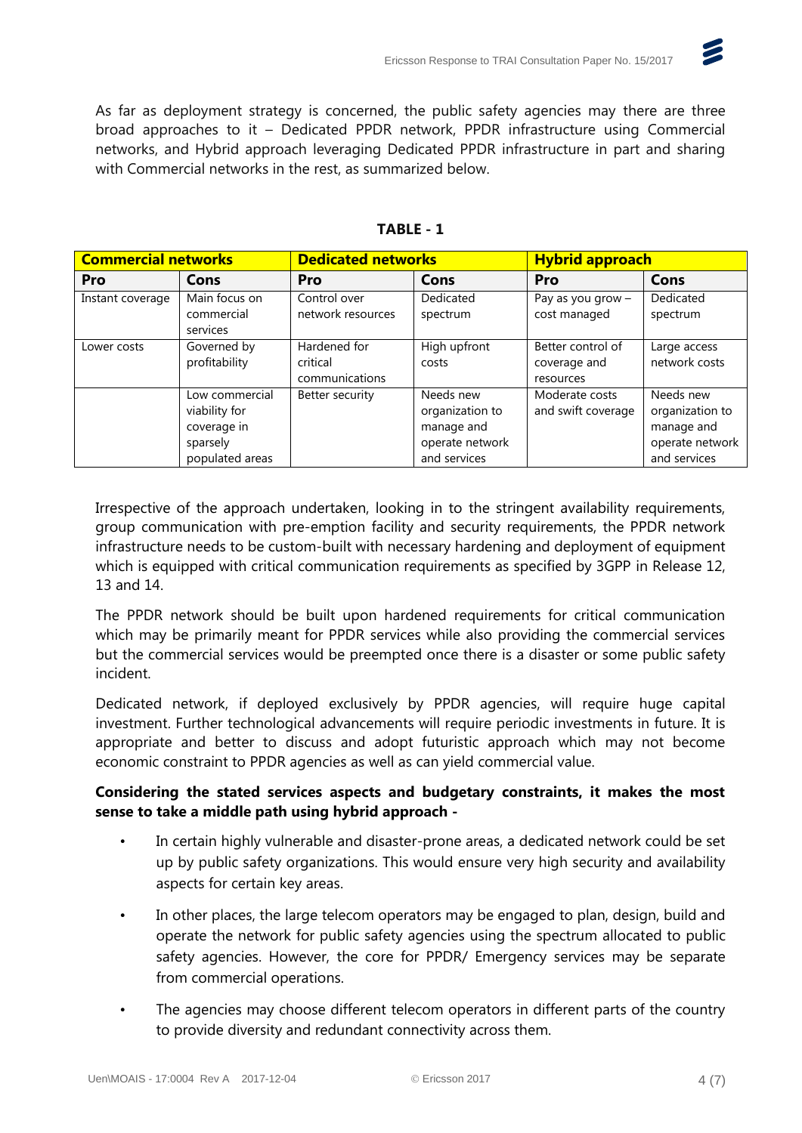

As far as deployment strategy is concerned, the public safety agencies may there are three broad approaches to it – Dedicated PPDR network, PPDR infrastructure using Commercial networks, and Hybrid approach leveraging Dedicated PPDR infrastructure in part and sharing with Commercial networks in the rest, as summarized below.

| <b>Commercial networks</b> |                                                                               | <b>Dedicated networks</b>                  |                                                                               | <b>Hybrid approach</b>                         |                                                                               |
|----------------------------|-------------------------------------------------------------------------------|--------------------------------------------|-------------------------------------------------------------------------------|------------------------------------------------|-------------------------------------------------------------------------------|
| <b>Pro</b>                 | Cons                                                                          | Pro                                        | Cons                                                                          | Pro                                            | Cons                                                                          |
| Instant coverage           | Main focus on<br>commercial<br>services                                       | Control over<br>network resources          | Dedicated<br>spectrum                                                         | Pay as you grow -<br>cost managed              | Dedicated<br>spectrum                                                         |
| Lower costs                | Governed by<br>profitability                                                  | Hardened for<br>critical<br>communications | High upfront<br>costs                                                         | Better control of<br>coverage and<br>resources | Large access<br>network costs                                                 |
|                            | Low commercial<br>viability for<br>coverage in<br>sparsely<br>populated areas | Better security                            | Needs new<br>organization to<br>manage and<br>operate network<br>and services | Moderate costs<br>and swift coverage           | Needs new<br>organization to<br>manage and<br>operate network<br>and services |

#### **TABLE - 1**

Irrespective of the approach undertaken, looking in to the stringent availability requirements, group communication with pre-emption facility and security requirements, the PPDR network infrastructure needs to be custom-built with necessary hardening and deployment of equipment which is equipped with critical communication requirements as specified by 3GPP in Release 12, 13 and 14.

The PPDR network should be built upon hardened requirements for critical communication which may be primarily meant for PPDR services while also providing the commercial services but the commercial services would be preempted once there is a disaster or some public safety incident.

Dedicated network, if deployed exclusively by PPDR agencies, will require huge capital investment. Further technological advancements will require periodic investments in future. It is appropriate and better to discuss and adopt futuristic approach which may not become economic constraint to PPDR agencies as well as can yield commercial value.

#### **Considering the stated services aspects and budgetary constraints, it makes the most sense to take a middle path using hybrid approach -**

- In certain highly vulnerable and disaster-prone areas, a dedicated network could be set up by public safety organizations. This would ensure very high security and availability aspects for certain key areas.
- In other places, the large telecom operators may be engaged to plan, design, build and operate the network for public safety agencies using the spectrum allocated to public safety agencies. However, the core for PPDR/ Emergency services may be separate from commercial operations.
- The agencies may choose different telecom operators in different parts of the country to provide diversity and redundant connectivity across them.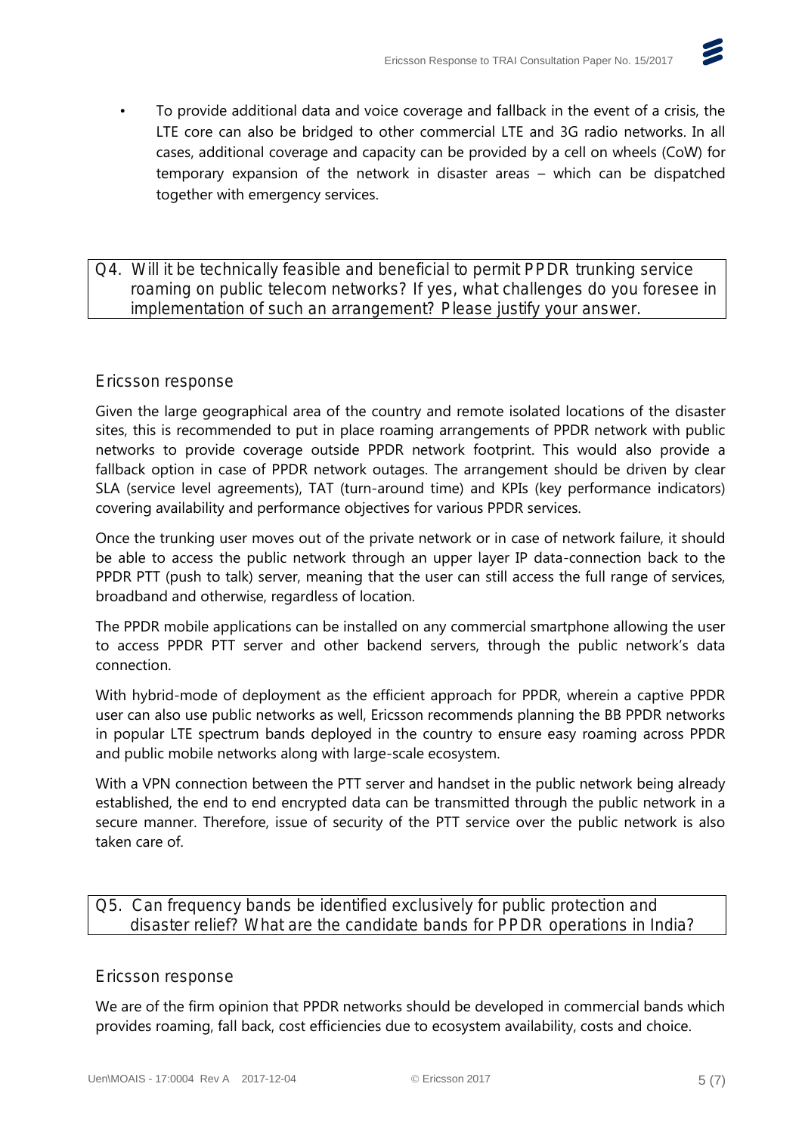

• To provide additional data and voice coverage and fallback in the event of a crisis, the LTE core can also be bridged to other commercial LTE and 3G radio networks. In all cases, additional coverage and capacity can be provided by a cell on wheels (CoW) for temporary expansion of the network in disaster areas – which can be dispatched together with emergency services.

#### Q4. Will it be technically feasible and beneficial to permit PPDR trunking service roaming on public telecom networks? If yes, what challenges do you foresee in implementation of such an arrangement? Please justify your answer.

### Ericsson response

Given the large geographical area of the country and remote isolated locations of the disaster sites, this is recommended to put in place roaming arrangements of PPDR network with public networks to provide coverage outside PPDR network footprint. This would also provide a fallback option in case of PPDR network outages. The arrangement should be driven by clear SLA (service level agreements), TAT (turn-around time) and KPIs (key performance indicators) covering availability and performance objectives for various PPDR services.

Once the trunking user moves out of the private network or in case of network failure, it should be able to access the public network through an upper layer IP data-connection back to the PPDR PTT (push to talk) server, meaning that the user can still access the full range of services, broadband and otherwise, regardless of location.

The PPDR mobile applications can be installed on any commercial smartphone allowing the user to access PPDR PTT server and other backend servers, through the public network's data connection.

With hybrid-mode of deployment as the efficient approach for PPDR, wherein a captive PPDR user can also use public networks as well, Ericsson recommends planning the BB PPDR networks in popular LTE spectrum bands deployed in the country to ensure easy roaming across PPDR and public mobile networks along with large-scale ecosystem.

With a VPN connection between the PTT server and handset in the public network being already established, the end to end encrypted data can be transmitted through the public network in a secure manner. Therefore, issue of security of the PTT service over the public network is also taken care of.

### Q5. Can frequency bands be identified exclusively for public protection and disaster relief? What are the candidate bands for PPDR operations in India?

#### Ericsson response

We are of the firm opinion that PPDR networks should be developed in commercial bands which provides roaming, fall back, cost efficiencies due to ecosystem availability, costs and choice.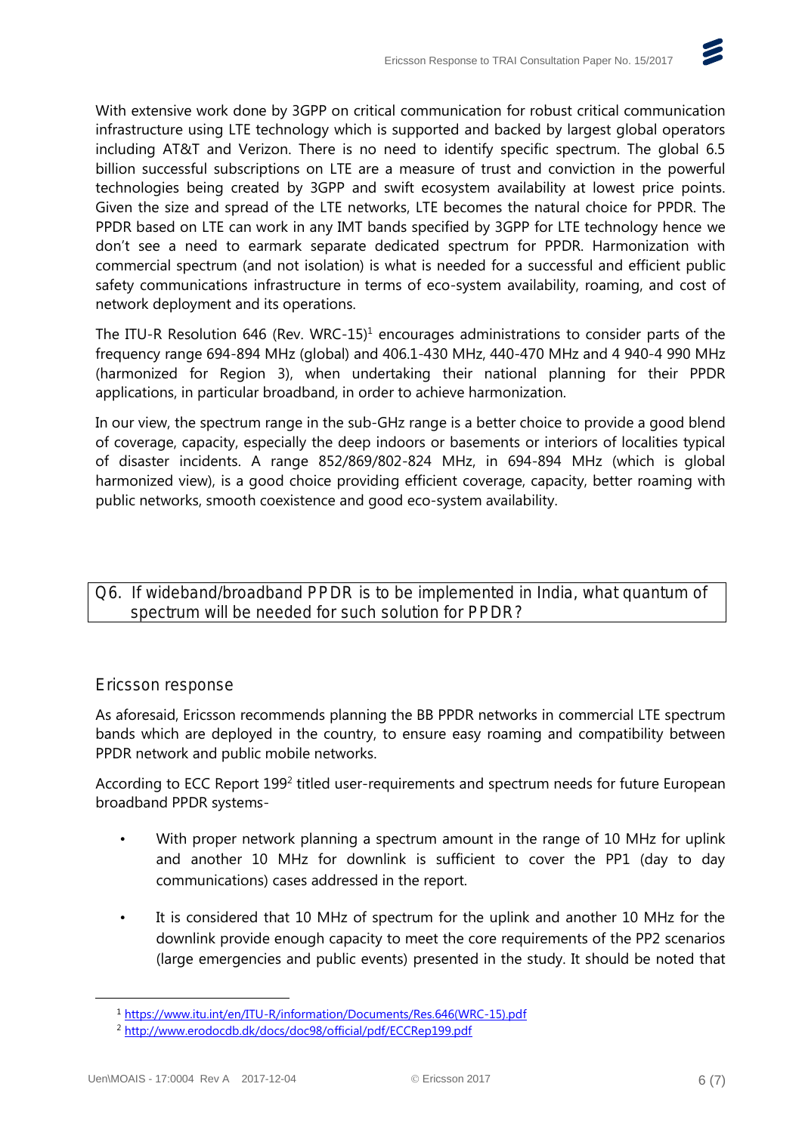

With extensive work done by 3GPP on critical communication for robust critical communication infrastructure using LTE technology which is supported and backed by largest global operators including AT&T and Verizon. There is no need to identify specific spectrum. The global 6.5 billion successful subscriptions on LTE are a measure of trust and conviction in the powerful technologies being created by 3GPP and swift ecosystem availability at lowest price points. Given the size and spread of the LTE networks, LTE becomes the natural choice for PPDR. The PPDR based on LTE can work in any IMT bands specified by 3GPP for LTE technology hence we don't see a need to earmark separate dedicated spectrum for PPDR. Harmonization with commercial spectrum (and not isolation) is what is needed for a successful and efficient public safety communications infrastructure in terms of eco-system availability, roaming, and cost of network deployment and its operations.

The ITU-R Resolution 646 (Rev. WRC-15)<sup>1</sup> encourages administrations to consider parts of the frequency range 694-894 MHz (global) and 406.1-430 MHz, 440-470 MHz and 4 940-4 990 MHz (harmonized for Region 3), when undertaking their national planning for their PPDR applications, in particular broadband, in order to achieve harmonization.

In our view, the spectrum range in the sub-GHz range is a better choice to provide a good blend of coverage, capacity, especially the deep indoors or basements or interiors of localities typical of disaster incidents. A range 852/869/802-824 MHz, in 694-894 MHz (which is global harmonized view), is a good choice providing efficient coverage, capacity, better roaming with public networks, smooth coexistence and good eco-system availability.

Q6. If wideband/broadband PPDR is to be implemented in India, what quantum of spectrum will be needed for such solution for PPDR?

#### Ericsson response

As aforesaid, Ericsson recommends planning the BB PPDR networks in commercial LTE spectrum bands which are deployed in the country, to ensure easy roaming and compatibility between PPDR network and public mobile networks.

According to ECC Report 199<sup>2</sup> titled user-requirements and spectrum needs for future European broadband PPDR systems-

- With proper network planning a spectrum amount in the range of 10 MHz for uplink and another 10 MHz for downlink is sufficient to cover the PP1 (day to day communications) cases addressed in the report.
- It is considered that 10 MHz of spectrum for the uplink and another 10 MHz for the downlink provide enough capacity to meet the core requirements of the PP2 scenarios (large emergencies and public events) presented in the study. It should be noted that

 $\overline{a}$ 

<sup>1</sup> [https://www.itu.int/en/ITU-R/information/Documents/Res.646\(WRC-15\).pdf](https://www.itu.int/en/ITU-R/information/Documents/Res.646(WRC-15).pdf)

<sup>2</sup> <http://www.erodocdb.dk/docs/doc98/official/pdf/ECCRep199.pdf>